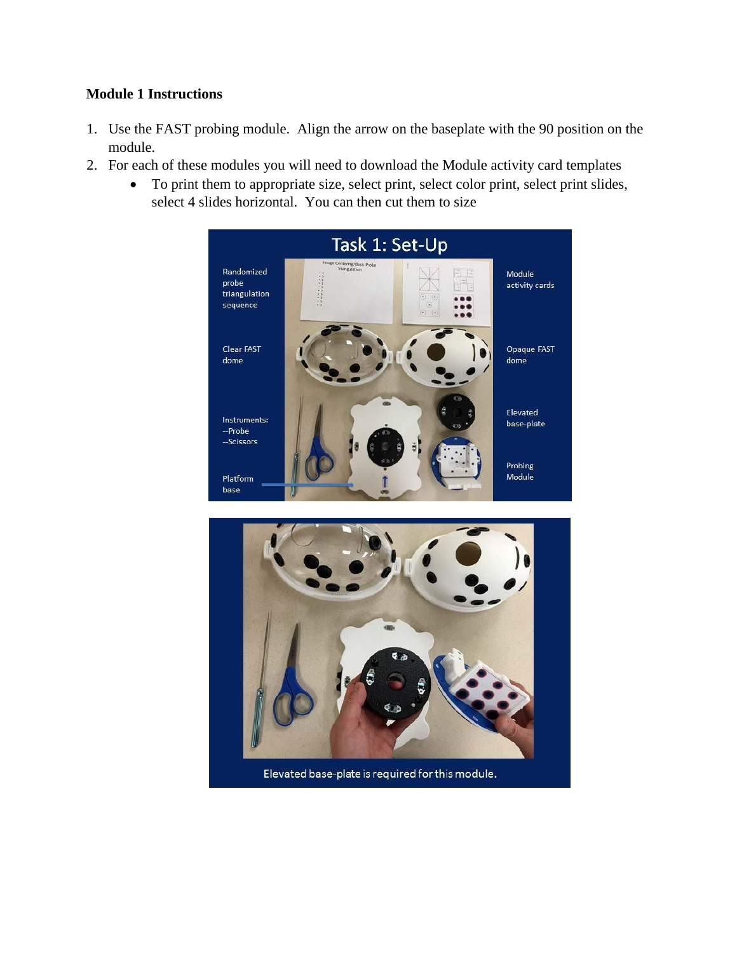## **Module 1 Instructions**

- 1. Use the FAST probing module. Align the arrow on the baseplate with the 90 position on the module.
- 2. For each of these modules you will need to download the Module activity card templates
	- To print them to appropriate size, select print, select color print, select print slides, select 4 slides horizontal. You can then cut them to size





Elevated base-plate is required for this module.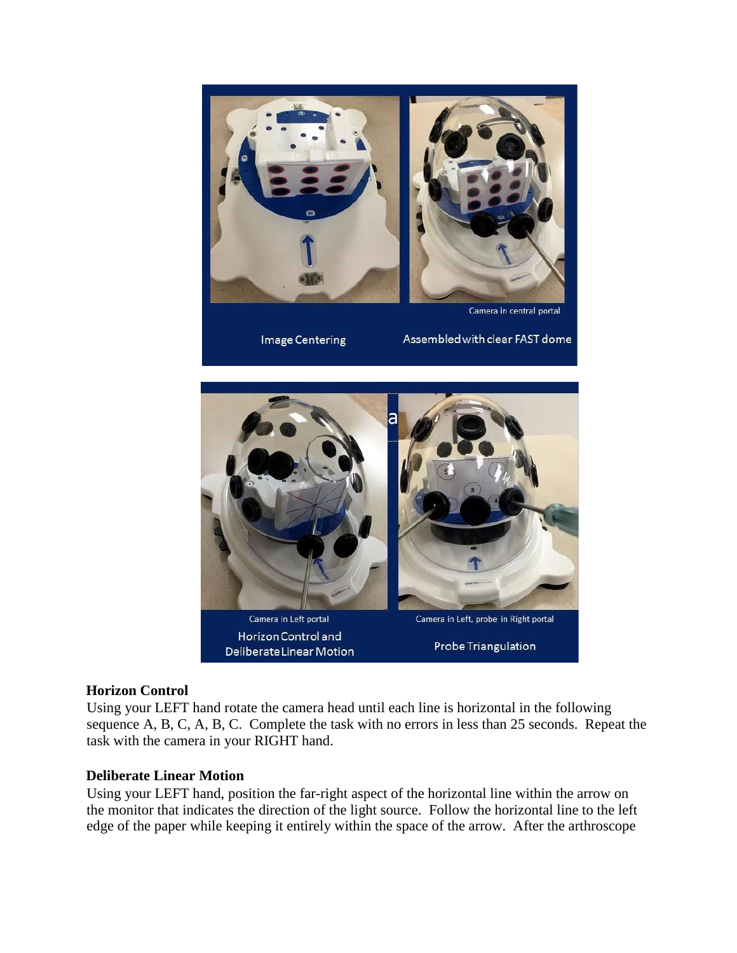

## **Horizon Control**

Using your LEFT hand rotate the camera head until each line is horizontal in the following sequence A, B, C, A, B, C. Complete the task with no errors in less than 25 seconds. Repeat the task with the camera in your RIGHT hand.

## **Deliberate Linear Motion**

Using your LEFT hand, position the far-right aspect of the horizontal line within the arrow on the monitor that indicates the direction of the light source. Follow the horizontal line to the left edge of the paper while keeping it entirely within the space of the arrow. After the arthroscope